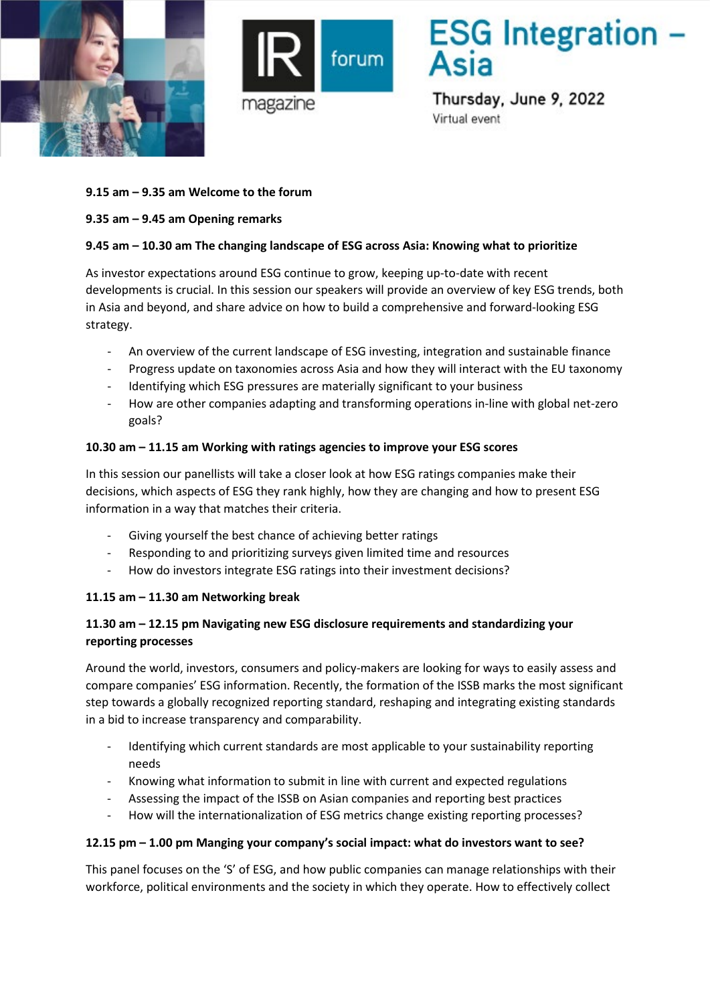



# **ESG** Integration -

Thursday, June 9, 2022 Virtual event

## **9.15 am – 9.35 am Welcome to the forum**

## **9.35 am – 9.45 am Opening remarks**

# **9.45 am – 10.30 am The changing landscape of ESG across Asia: Knowing what to prioritize**

As investor expectations around ESG continue to grow, keeping up-to-date with recent developments is crucial. In this session our speakers will provide an overview of key ESG trends, both in Asia and beyond, and share advice on how to build a comprehensive and forward-looking ESG strategy.

- An overview of the current landscape of ESG investing, integration and sustainable finance
- Progress update on taxonomies across Asia and how they will interact with the EU taxonomy
- Identifying which ESG pressures are materially significant to your business
- How are other companies adapting and transforming operations in-line with global net-zero goals?

#### **10.30 am – 11.15 am Working with ratings agencies to improve your ESG scores**

In this session our panellists will take a closer look at how ESG ratings companies make their decisions, which aspects of ESG they rank highly, how they are changing and how to present ESG information in a way that matches their criteria.

- Giving yourself the best chance of achieving better ratings
- Responding to and prioritizing surveys given limited time and resources
- How do investors integrate ESG ratings into their investment decisions?

## **11.15 am – 11.30 am Networking break**

## **11.30 am – 12.15 pm Navigating new ESG disclosure requirements and standardizing your reporting processes**

Around the world, investors, consumers and policy-makers are looking for ways to easily assess and compare companies' ESG information. Recently, the formation of the ISSB marks the most significant step towards a globally recognized reporting standard, reshaping and integrating existing standards in a bid to increase transparency and comparability.

- Identifying which current standards are most applicable to your sustainability reporting needs
- Knowing what information to submit in line with current and expected regulations
- Assessing the impact of the ISSB on Asian companies and reporting best practices
- How will the internationalization of ESG metrics change existing reporting processes?

#### **12.15 pm – 1.00 pm Manging your company's social impact: what do investors want to see?**

This panel focuses on the 'S' of ESG, and how public companies can manage relationships with their workforce, political environments and the society in which they operate. How to effectively collect